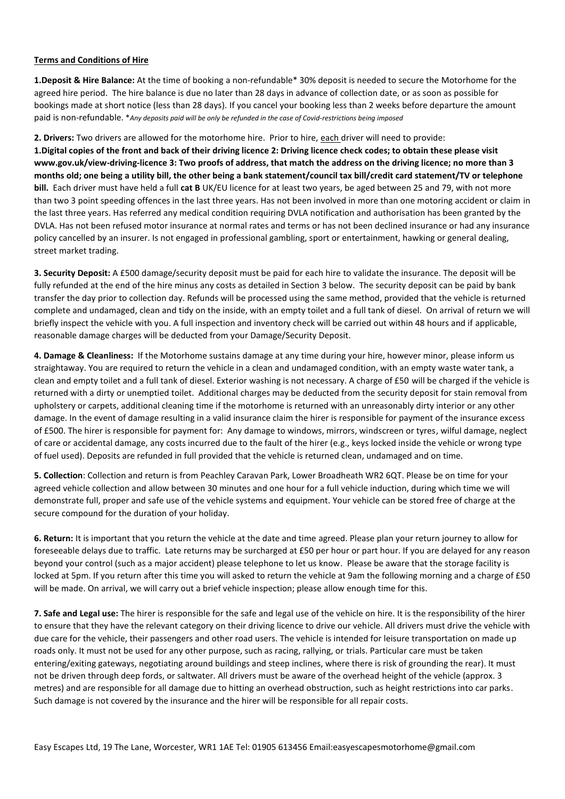## **Terms and Conditions of Hire**

**1.Deposit & Hire Balance:** At the time of booking a non-refundable\* 30% deposit is needed to secure the Motorhome for the agreed hire period. The hire balance is due no later than 28 days in advance of collection date, or as soon as possible for bookings made at short notice (less than 28 days). If you cancel your booking less than 2 weeks before departure the amount paid is non-refundable. \**Any deposits paid will be only be refunded in the case of Covid-restrictions being imposed*

## **2. Drivers:** Two drivers are allowed for the motorhome hire. Prior to hire, each driver will need to provide:

**1.Digital copies of the front and back of their driving licence 2: Driving licence check codes; to obtain these please visit www.gov.uk/view-driving-licence 3: Two proofs of address, that match the address on the driving licence; no more than 3 months old; one being a utility bill, the other being a bank statement/council tax bill/credit card statement/TV or telephone bill.** Each driver must have held a full **cat B** UK/EU licence for at least two years, be aged between 25 and 79, with not more than two 3 point speeding offences in the last three years. Has not been involved in more than one motoring accident or claim in the last three years. Has referred any medical condition requiring DVLA notification and authorisation has been granted by the DVLA. Has not been refused motor insurance at normal rates and terms or has not been declined insurance or had any insurance policy cancelled by an insurer. Is not engaged in professional gambling, sport or entertainment, hawking or general dealing, street market trading.

**3. Security Deposit:** A £500 damage/security deposit must be paid for each hire to validate the insurance. The deposit will be fully refunded at the end of the hire minus any costs as detailed in Section 3 below. The security deposit can be paid by bank transfer the day prior to collection day. Refunds will be processed using the same method, provided that the vehicle is returned complete and undamaged, clean and tidy on the inside, with an empty toilet and a full tank of diesel. On arrival of return we will briefly inspect the vehicle with you. A full inspection and inventory check will be carried out within 48 hours and if applicable, reasonable damage charges will be deducted from your Damage/Security Deposit.

**4. Damage & Cleanliness:** If the Motorhome sustains damage at any time during your hire, however minor, please inform us straightaway. You are required to return the vehicle in a clean and undamaged condition, with an empty waste water tank, a clean and empty toilet and a full tank of diesel. Exterior washing is not necessary. A charge of £50 will be charged if the vehicle is returned with a dirty or unemptied toilet. Additional charges may be deducted from the security deposit for stain removal from upholstery or carpets, additional cleaning time if the motorhome is returned with an unreasonably dirty interior or any other damage. In the event of damage resulting in a valid insurance claim the hirer is responsible for payment of the insurance excess of £500. The hirer is responsible for payment for: Any damage to windows, mirrors, windscreen or tyres, wilful damage, neglect of care or accidental damage, any costs incurred due to the fault of the hirer (e.g., keys locked inside the vehicle or wrong type of fuel used). Deposits are refunded in full provided that the vehicle is returned clean, undamaged and on time.

**5. Collection**: Collection and return is from Peachley Caravan Park, Lower Broadheath WR2 6QT. Please be on time for your agreed vehicle collection and allow between 30 minutes and one hour for a full vehicle induction, during which time we will demonstrate full, proper and safe use of the vehicle systems and equipment. Your vehicle can be stored free of charge at the secure compound for the duration of your holiday.

**6. Return:** It is important that you return the vehicle at the date and time agreed. Please plan your return journey to allow for foreseeable delays due to traffic. Late returns may be surcharged at £50 per hour or part hour. If you are delayed for any reason beyond your control (such as a major accident) please telephone to let us know. Please be aware that the storage facility is locked at 5pm. If you return after this time you will asked to return the vehicle at 9am the following morning and a charge of £50 will be made. On arrival, we will carry out a brief vehicle inspection; please allow enough time for this.

**7. Safe and Legal use:** The hirer is responsible for the safe and legal use of the vehicle on hire. It is the responsibility of the hirer to ensure that they have the relevant category on their driving licence to drive our vehicle. All drivers must drive the vehicle with due care for the vehicle, their passengers and other road users. The vehicle is intended for leisure transportation on made up roads only. It must not be used for any other purpose, such as racing, rallying, or trials. Particular care must be taken entering/exiting gateways, negotiating around buildings and steep inclines, where there is risk of grounding the rear). It must not be driven through deep fords, or saltwater. All drivers must be aware of the overhead height of the vehicle (approx. 3 metres) and are responsible for all damage due to hitting an overhead obstruction, such as height restrictions into car parks. Such damage is not covered by the insurance and the hirer will be responsible for all repair costs.